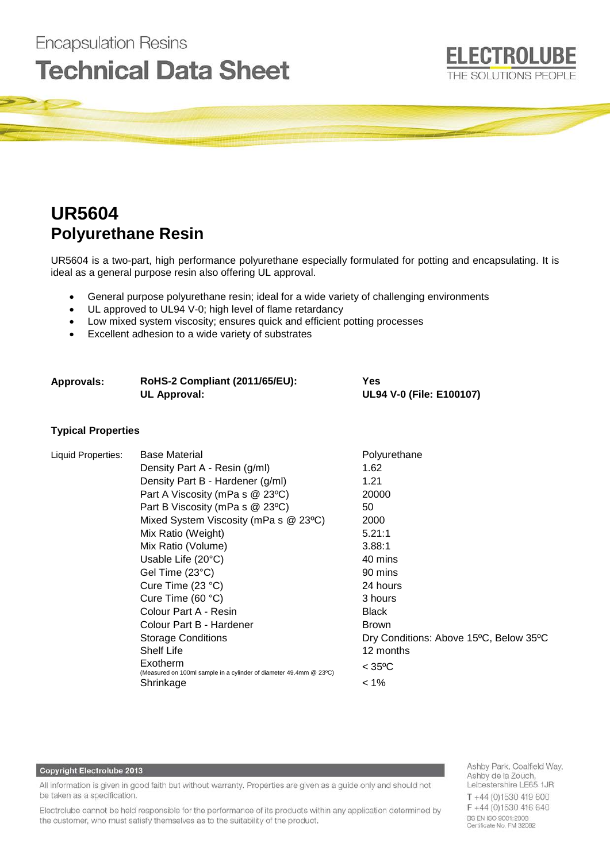# **Encapsulation Resins Technical Data Sheet**



# **UR5604 Polyurethane Resin**

UR5604 is a two-part, high performance polyurethane especially formulated for potting and encapsulating. It is ideal as a general purpose resin also offering UL approval.

- General purpose polyurethane resin; ideal for a wide variety of challenging environments
- UL approved to UL94 V-0; high level of flame retardancy
- Low mixed system viscosity; ensures quick and efficient potting processes
- Excellent adhesion to a wide variety of substrates

| Approvals: | RoHS-2 Compliant (2011/65/EU): | Yes                      |
|------------|--------------------------------|--------------------------|
|            | UL Approval:                   | UL94 V-0 (File: E100107) |

# **Typical Properties**

| Liquid Properties: | <b>Base Material</b>                                                           | Polyurethane                           |
|--------------------|--------------------------------------------------------------------------------|----------------------------------------|
|                    | Density Part A - Resin (g/ml)                                                  | 1.62                                   |
|                    | Density Part B - Hardener (g/ml)                                               | 1.21                                   |
|                    | Part A Viscosity (mPa s @ 23°C)                                                | 20000                                  |
|                    | Part B Viscosity (mPa s @ 23°C)                                                | 50                                     |
|                    | Mixed System Viscosity (mPa s @ 23°C)                                          | 2000                                   |
|                    | Mix Ratio (Weight)                                                             | 5.21:1                                 |
|                    | Mix Ratio (Volume)                                                             | 3.88:1                                 |
|                    | Usable Life $(20^{\circ}C)$                                                    | 40 mins                                |
|                    | Gel Time (23°C)                                                                | 90 mins                                |
|                    | Cure Time $(23 °C)$                                                            | 24 hours                               |
|                    | Cure Time $(60 °C)$                                                            | 3 hours                                |
|                    | Colour Part A - Resin                                                          | <b>Black</b>                           |
|                    | Colour Part B - Hardener                                                       | <b>Brown</b>                           |
|                    | <b>Storage Conditions</b>                                                      | Dry Conditions: Above 15°C, Below 35°C |
|                    | <b>Shelf Life</b>                                                              | 12 months                              |
|                    | Exotherm<br>(Measured on 100ml sample in a cylinder of diameter 49.4mm @ 23°C) | $<$ 35°C                               |
|                    | Shrinkage                                                                      | $< 1\%$                                |

#### Copyright Electrolube 2013

All information is given in good faith but without warranty. Properties are given as a guide only and should not be taken as a specification.

Electrolube cannot be held responsible for the performance of its products within any application determined by the customer, who must satisfy themselves as to the suitability of the product.

Ashby Park, Coalfield Way, Ashby de la Zouch, Leicestershire LE65 1JR T +44 (0)1530 419 600 F+44 (0)1530 416 640 BS EN ISO 9001:2008<br>Certificate No. FM 32082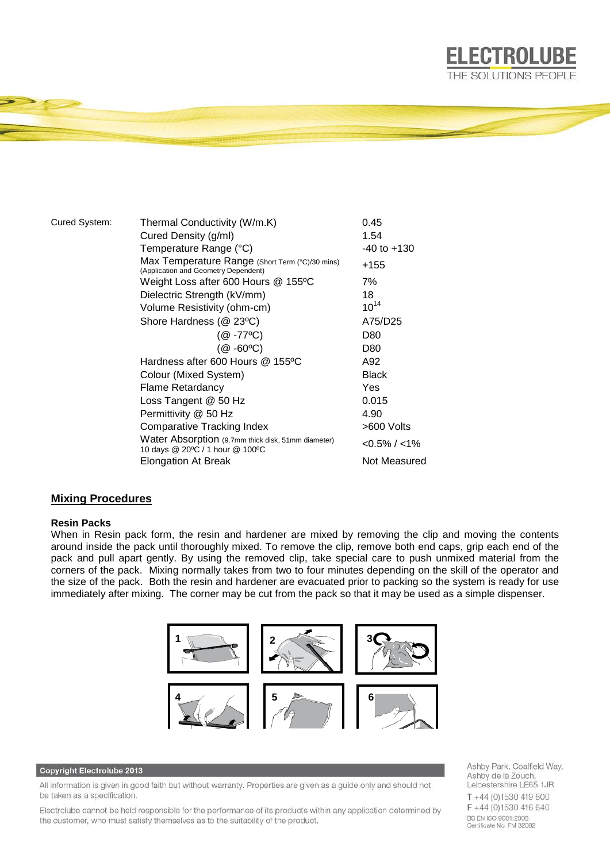

| Cured System: | Thermal Conductivity (W/m.K)                                                            | 0.45              |
|---------------|-----------------------------------------------------------------------------------------|-------------------|
|               | Cured Density (g/ml)                                                                    | 1.54              |
|               | Temperature Range (°C)                                                                  | $-40$ to $+130$   |
|               | Max Temperature Range (Short Term (°C)/30 mins)<br>(Application and Geometry Dependent) | +155              |
|               | Weight Loss after 600 Hours @ 155ºC                                                     | 7%                |
|               | Dielectric Strength (kV/mm)                                                             | 18                |
|               | Volume Resistivity (ohm-cm)                                                             | $10^{14}$         |
|               | Shore Hardness (@ 23°C)                                                                 | A75/D25           |
|               | $(@ -77^{\circ}C)$                                                                      | D80               |
|               | $(Q - 60^{\circ}C)$                                                                     | D80               |
|               | Hardness after 600 Hours @ 155°C                                                        | A92               |
|               | Colour (Mixed System)                                                                   | <b>Black</b>      |
|               | Flame Retardancy                                                                        | Yes               |
|               | Loss Tangent @ 50 Hz                                                                    | 0.015             |
|               | Permittivity @ 50 Hz                                                                    | 4.90              |
|               | <b>Comparative Tracking Index</b>                                                       | >600 Volts        |
|               | Water Absorption (9.7mm thick disk, 51mm diameter)<br>10 days @ 20°C / 1 hour @ 100°C   | $< 0.5\% / < 1\%$ |
|               | <b>Elongation At Break</b>                                                              | Not Measured      |

# **Mixing Procedures**

### **Resin Packs**

When in Resin pack form, the resin and hardener are mixed by removing the clip and moving the contents around inside the pack until thoroughly mixed. To remove the clip, remove both end caps, grip each end of the pack and pull apart gently. By using the removed clip, take special care to push unmixed material from the corners of the pack. Mixing normally takes from two to four minutes depending on the skill of the operator and the size of the pack. Both the resin and hardener are evacuated prior to packing so the system is ready for use immediately after mixing. The corner may be cut from the pack so that it may be used as a simple dispenser.



#### Copyright Electrolube 2013

All information is given in good faith but without warranty. Properties are given as a guide only and should not be taken as a specification.

Electrolube cannot be held responsible for the performance of its products within any application determined by the customer, who must satisfy themselves as to the suitability of the product.

Ashby Park, Coalfield Way, Ashby de la Zouch, Leicestershire LE65 1JR  $T + 44$  (0)1530 419 600 F+44 (0)1530 416 640 BS EN ISO 9001:2008<br>Certificate No. FM 32082

**ELECTROLUBE**